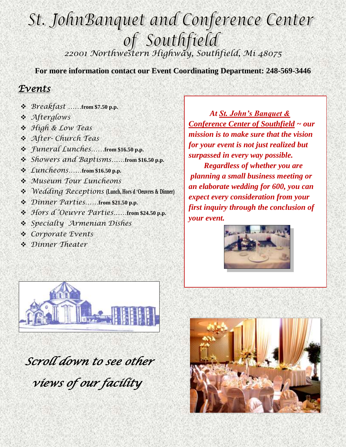# St. JohnBanquet and Conference Center *22001 Northwestern Highway, Southfield, Mi 48075*

**For more information contact our Event Coordinating Department: 248-569-3446**

#### *Events*

- *Breakfast ……***from \$7.50 p.p.**
- *Afterglows*
- *High & Low Teas*
- *After- Church Teas*
- *Funeral Lunches……***from \$16.50 p.p.**
- *Showers and Baptisms……***from \$16.50 p.p.**
- *Luncheons……***from \$16.50 p.p.**
- *Museum Tour Luncheons*
- *Wedding Receptions* **(Lunch, Hors d 'Oeuvres & Dinner)**
- *Dinner Parties……***from \$21.50 p.p.**
- *Hors d 'Oeuvre Parties……***from \$24.50 p.p.**
- *Specialty Armenian Dishes*
- *Corporate Events*
- *Dinner Theater*

 *At St. John's Banquet & Conference Center of Southfield ~ our mission is to make sure that the vision for your event is not just realized but surpassed in every way possible. Regardless of whether you are planning a small business meeting or an elaborate wedding for 600, you can expect every consideration from your* 

*first inquiry through the conclusion of* 





 *Scroll down to see other* 

 *views of our facility* 

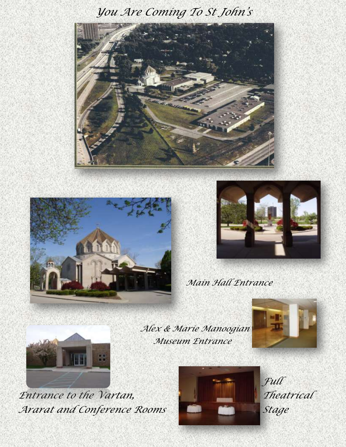#### *You Are Coming To St John's*







*Main Hall Entrance*



*Alex & Marie Manoogian Museum Entrance*





*Entrance to the Vartan,* Theatrical *Ararat and Conference Rooms Stage*



*F Full*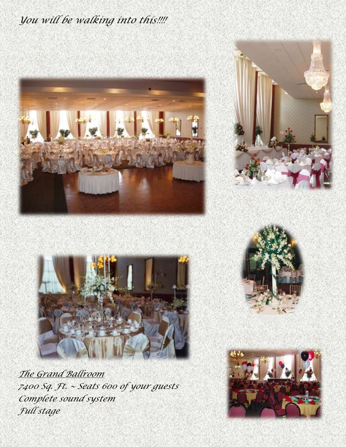### *You will be walking into this!!!!*







*The Grand Ballroom 7400 Sq. Ft. ~ Seats 600 of your guests Complete sound system Full stage*

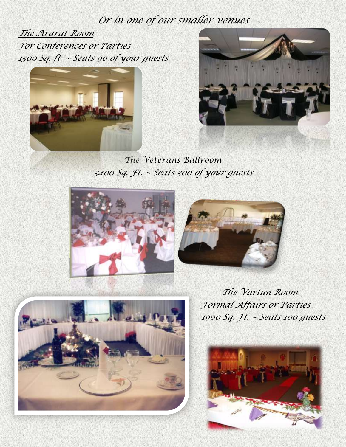#### *Or in one of our smaller venues*

*The Ararat Room For Conferences or Parties 1500 Sq. ft. ~ Seats 90 of your guests*





*The Veterans Ballroom 3400 Sq. Ft. ~ Seats 300 of your guests*





*The Vartan Room Formal Affairs or Parties 1900 Sq. Ft. ~ Seats 100 guests*

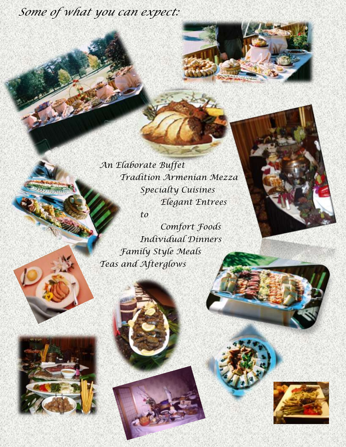## *Some of what you can expect:*

*An Elaborate Buffet Tradition Armenian Mezza Specialty Cuisines Elegant Entrees to*

*Comfort Foods Individual Dinners Family Style Meals Teas and Afterglows*